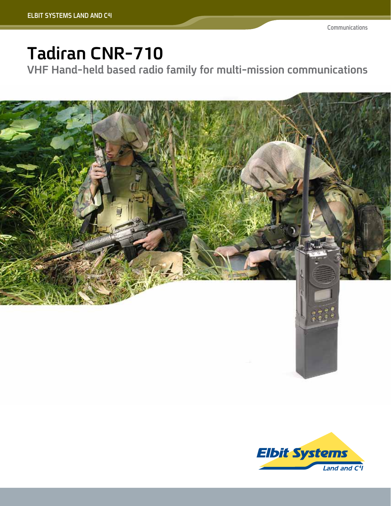# Tadiran CNR-710

**VHF Hand-held based radio family for multi-mission communications** 



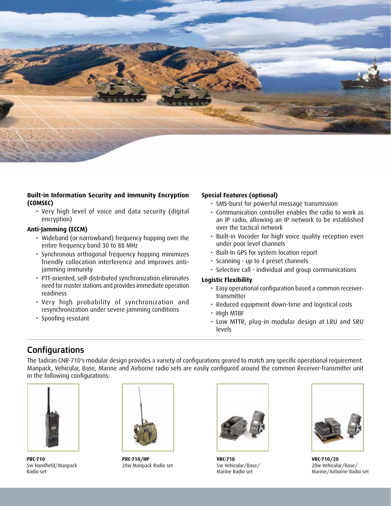

#### **Built-in Information Security and Immunity Encryption (COMSEC(**

• Very high level of voice and data security (digital (encryption

#### **Anti-Jamming (ECCM)**

- Wideband (or narrowband) frequency hopping over the entire frequency band 30 to 88 MHz
- Synchronous orthogonal frequency hopping minimizes friendly collocation interference and improves anti-<br>jamming immunity
- PTT-oriented, self-distributed synchronization eliminates need for master stations and provides immediate operation readiness
- Very high probability of synchronization and resynchronization under severe jamming conditions
- Spoofing resistant

#### **Special Features (optional)**

- SMS-burst for powerful message transmission
- Communication controller enables the radio to work as an IP radio, allowing an IP network to be established over the tactical network
- Built-in Vocoder for high voice quality reception even under poor level channels
- Built-In GPS for system location report
- Scanning up to 4 preset channels
- Selective call individual and group communications

#### **Flexibility Logistic**

- Easy operational configuration based a common receiver-<br>transmitter
- Reduced equipment down-time and logistical costs
- High MTBF
- · Low MTTR; plug-in modular design at LRU and SRU levels

# **Configurations**

The Tadiran CNR-710's modular design provides a variety of configurations geared to match any specific operational requirement. Manpack, Vehicular, Base, Marine and Airborne radio sets are easily configured around the common Receiver-Transmitter unit in the following configurations:



**PRC-710** 5w Handheld/Manpack Radio set



**PRC-710/HP** 20w Manpack Radio set



**VRC-710** 5w Vehicular/Base/ Marine Radio set



**VRC-710/20** 20w Vehicular/Base/ Marine/Airborne Radio set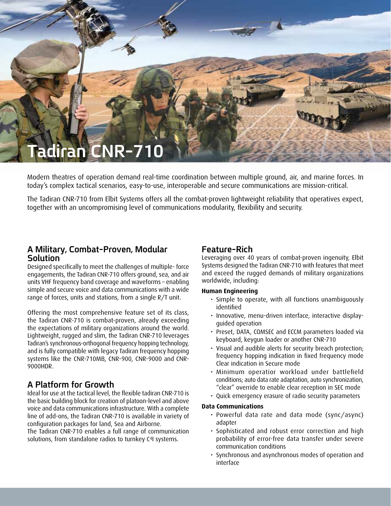

Modern theatres of operation demand real-time coordination between multiple ground, air, and marine forces. In today's complex tactical scenarios, easy-to-use, interoperable and secure communications are mission-critical.

The Tadiran CNR-710 from Elbit Systems offers all the combat-proven lightweight reliability that operatives expect, together with an uncompromising level of communications modularity, flexibility and security.

### **A Military, Combat-Proven, Modular Solution**

Designed specifically to meet the challenges of multiple-force engagements, the Tadiran CNR-710 offers ground, sea, and air units VHF frequency band coverage and waveforms - enabling simple and secure voice and data communications with a wide range of forces, units and stations, from a single  $R/T$  unit.

Offering the most comprehensive feature set of its class, the Tadiran CNR-710 is combat-proven, already exceeding the expectations of military organizations around the world. Lightweight, rugged and slim, the Tadiran CNR-710 leverages Tadiran's synchronous-orthogonal frequency hopping technology, and is fully compatible with legacy Tadiran frequency hopping systems like the CNR-710MB, CNR-900, CNR-9000 and CNR-<br>9000HDR.

## **A Platform for Growth**

Ideal for use at the tactical level, the flexible tadiran CNR-710 is the basic building block for creation of platoon-level and above voice and data communications infrastructure. With a complete line of add-ons, the Tadiran CNR-710 is available in variety of configuration packages for land, Sea and Airborne. The Tadiran CNR-710 enables a full range of communication solutions, from standalone radios to turnkey C<sup>4</sup>I systems.

### **Rich-Feature**

Leveraging over 40 years of combat-proven ingenuity, Elbit Systems designed the Tadiran CNR-710 with features that meet and exceed the rugged demands of military organizations worldwide, including:

#### **Engineering Human**

- · Simple to operate, with all functions unambiguously identified
- Innovative, menu-driven interface, interactive display-<br>guided operation
- Preset, DATA, COMSEC and ECCM parameters loaded via keyboard, keygun loader or another CNR-710
- Visual and audible alerts for security breach protection; frequency hopping indication in fixed frequency mode Clear indication in Secure mode
- Minimum operatior workload under battlefield conditions; auto data rate adaptation, auto synchronization, "clear" override to enable clear reception in SEC mode
- Quick emergency erasure of radio security parameters

#### **Communications Data**

- Powerful data rate and data mode (sync/async) adapter
- Sophisticated and robust error correction and high probability of error-free data transfer under severe communication conditions
- Synchronous and asynchronous modes of operation and interface